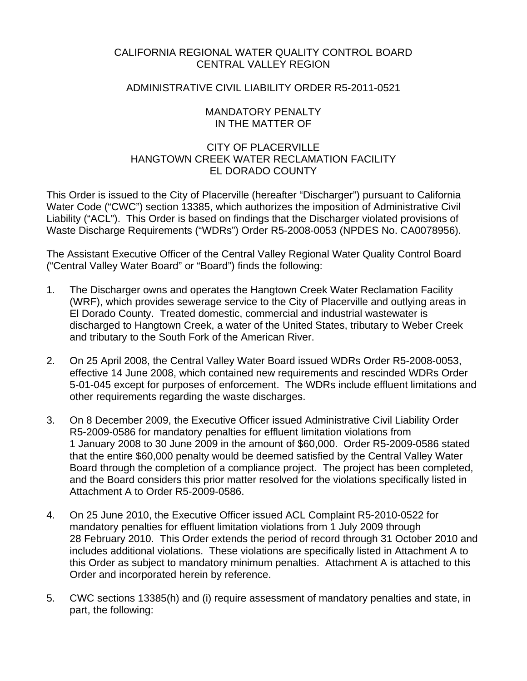## CALIFORNIA REGIONAL WATER QUALITY CONTROL BOARD CENTRAL VALLEY REGION

### ADMINISTRATIVE CIVIL LIABILITY ORDER R5-2011-0521

### MANDATORY PENALTY IN THE MATTER OF

## CITY OF PLACERVILLE HANGTOWN CREEK WATER RECLAMATION FACILITY EL DORADO COUNTY

This Order is issued to the City of Placerville (hereafter "Discharger") pursuant to California Water Code ("CWC") section 13385, which authorizes the imposition of Administrative Civil Liability ("ACL"). This Order is based on findings that the Discharger violated provisions of Waste Discharge Requirements ("WDRs") Order R5-2008-0053 (NPDES No. CA0078956).

The Assistant Executive Officer of the Central Valley Regional Water Quality Control Board ("Central Valley Water Board" or "Board") finds the following:

- 1. The Discharger owns and operates the Hangtown Creek Water Reclamation Facility (WRF), which provides sewerage service to the City of Placerville and outlying areas in El Dorado County. Treated domestic, commercial and industrial wastewater is discharged to Hangtown Creek, a water of the United States, tributary to Weber Creek and tributary to the South Fork of the American River.
- 2. On 25 April 2008, the Central Valley Water Board issued WDRs Order R5-2008-0053, effective 14 June 2008, which contained new requirements and rescinded WDRs Order 5-01-045 except for purposes of enforcement. The WDRs include effluent limitations and other requirements regarding the waste discharges.
- 3. On 8 December 2009, the Executive Officer issued Administrative Civil Liability Order R5-2009-0586 for mandatory penalties for effluent limitation violations from 1 January 2008 to 30 June 2009 in the amount of \$60,000. Order R5-2009-0586 stated that the entire \$60,000 penalty would be deemed satisfied by the Central Valley Water Board through the completion of a compliance project. The project has been completed, and the Board considers this prior matter resolved for the violations specifically listed in Attachment A to Order R5-2009-0586.
- 4. On 25 June 2010, the Executive Officer issued ACL Complaint R5-2010-0522 for mandatory penalties for effluent limitation violations from 1 July 2009 through 28 February 2010. This Order extends the period of record through 31 October 2010 and includes additional violations. These violations are specifically listed in Attachment A to this Order as subject to mandatory minimum penalties. Attachment A is attached to this Order and incorporated herein by reference.
- 5. CWC sections 13385(h) and (i) require assessment of mandatory penalties and state, in part, the following: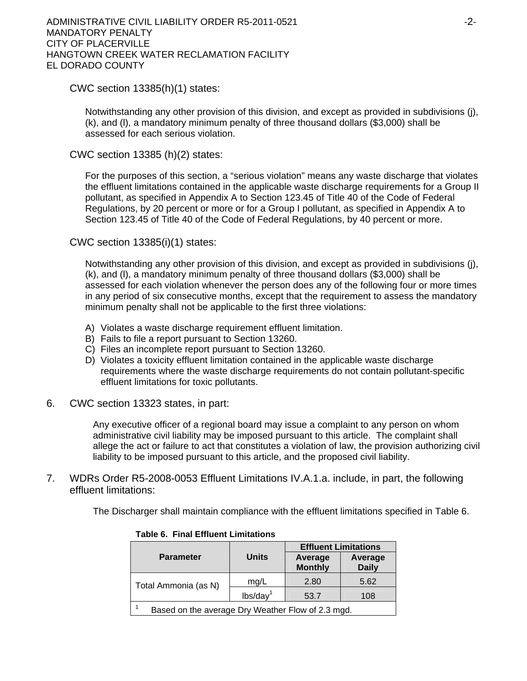ADMINISTRATIVE CIVIL LIABILITY ORDER R5-2011-0521 F2-2-MANDATORY PENALTY CITY OF PLACERVILLE HANGTOWN CREEK WATER RECLAMATION FACILITY EL DORADO COUNTY

CWC section 13385(h)(1) states:

Notwithstanding any other provision of this division, and except as provided in subdivisions (j), (k), and (l), a mandatory minimum penalty of three thousand dollars (\$3,000) shall be assessed for each serious violation.

CWC section 13385 (h)(2) states:

For the purposes of this section, a "serious violation" means any waste discharge that violates the effluent limitations contained in the applicable waste discharge requirements for a Group II pollutant, as specified in Appendix A to Section 123.45 of Title 40 of the Code of Federal Regulations, by 20 percent or more or for a Group I pollutant, as specified in Appendix A to Section 123.45 of Title 40 of the Code of Federal Regulations, by 40 percent or more.

CWC section 13385(i)(1) states:

Notwithstanding any other provision of this division, and except as provided in subdivisions (j), (k), and (l), a mandatory minimum penalty of three thousand dollars (\$3,000) shall be assessed for each violation whenever the person does any of the following four or more times in any period of six consecutive months, except that the requirement to assess the mandatory minimum penalty shall not be applicable to the first three violations:

- A) Violates a waste discharge requirement effluent limitation.
- B) Fails to file a report pursuant to Section 13260.
- C) Files an incomplete report pursuant to Section 13260.
- D) Violates a toxicity effluent limitation contained in the applicable waste discharge requirements where the waste discharge requirements do not contain pollutant-specific effluent limitations for toxic pollutants.
- 6. CWC section 13323 states, in part:

Any executive officer of a regional board may issue a complaint to any person on whom administrative civil liability may be imposed pursuant to this article. The complaint shall allege the act or failure to act that constitutes a violation of law, the provision authorizing civil liability to be imposed pursuant to this article, and the proposed civil liability.

7. WDRs Order R5-2008-0053 Effluent Limitations IV.A.1.a. include, in part, the following effluent limitations:

The Discharger shall maintain compliance with the effluent limitations specified in Table 6.

|                                                   | <b>Units</b>         | <b>Effluent Limitations</b> |                         |  |
|---------------------------------------------------|----------------------|-----------------------------|-------------------------|--|
| <b>Parameter</b>                                  |                      | Average<br><b>Monthly</b>   | Average<br><b>Daily</b> |  |
| Total Ammonia (as N)                              | mg/L                 | 2.80                        | 5.62                    |  |
|                                                   | lbs/day <sup>1</sup> | 53.7                        | 108                     |  |
| Based on the average Dry Weather Flow of 2.3 mgd. |                      |                             |                         |  |

**Table 6. Final Effluent Limitations**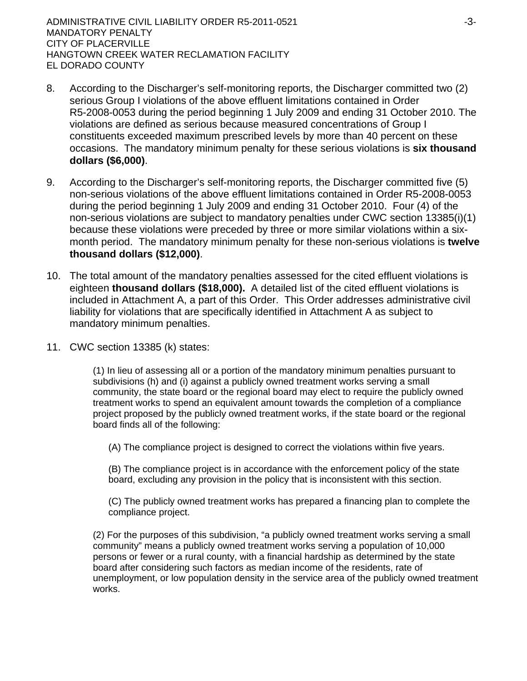ADMINISTRATIVE CIVIL LIABILITY ORDER R5-2011-0521 FOR AN INSTRUMENT CONTROLLER ASSESSED. MANDATORY PENALTY CITY OF PLACERVILLE HANGTOWN CREEK WATER RECLAMATION FACILITY EL DORADO COUNTY

- 8. According to the Discharger's self-monitoring reports, the Discharger committed two (2) serious Group I violations of the above effluent limitations contained in Order R5-2008-0053 during the period beginning 1 July 2009 and ending 31 October 2010. The violations are defined as serious because measured concentrations of Group I constituents exceeded maximum prescribed levels by more than 40 percent on these occasions. The mandatory minimum penalty for these serious violations is **six thousand dollars (\$6,000)**.
- 9. According to the Discharger's self-monitoring reports, the Discharger committed five (5) non-serious violations of the above effluent limitations contained in Order R5-2008-0053 during the period beginning 1 July 2009 and ending 31 October 2010. Four (4) of the non-serious violations are subject to mandatory penalties under CWC section 13385(i)(1) because these violations were preceded by three or more similar violations within a sixmonth period. The mandatory minimum penalty for these non-serious violations is **twelve thousand dollars (\$12,000)**.
- 10. The total amount of the mandatory penalties assessed for the cited effluent violations is eighteen **thousand dollars (\$18,000).** A detailed list of the cited effluent violations is included in Attachment A, a part of this Order. This Order addresses administrative civil liability for violations that are specifically identified in Attachment A as subject to mandatory minimum penalties.
- 11. CWC section 13385 (k) states:

(1) In lieu of assessing all or a portion of the mandatory minimum penalties pursuant to subdivisions (h) and (i) against a publicly owned treatment works serving a small community, the state board or the regional board may elect to require the publicly owned treatment works to spend an equivalent amount towards the completion of a compliance project proposed by the publicly owned treatment works, if the state board or the regional board finds all of the following:

(A) The compliance project is designed to correct the violations within five years.

(B) The compliance project is in accordance with the enforcement policy of the state board, excluding any provision in the policy that is inconsistent with this section.

(C) The publicly owned treatment works has prepared a financing plan to complete the compliance project.

(2) For the purposes of this subdivision, "a publicly owned treatment works serving a small community" means a publicly owned treatment works serving a population of 10,000 persons or fewer or a rural county, with a financial hardship as determined by the state board after considering such factors as median income of the residents, rate of unemployment, or low population density in the service area of the publicly owned treatment works.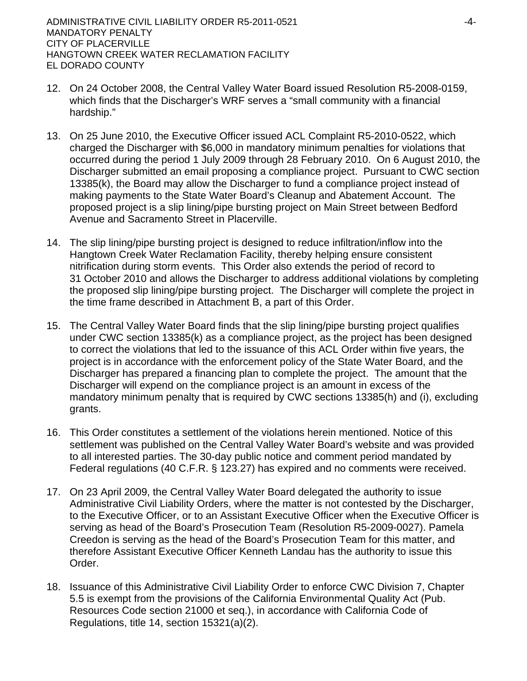- 12. On 24 October 2008, the Central Valley Water Board issued Resolution R5-2008-0159, which finds that the Discharger's WRF serves a "small community with a financial hardship."
- 13. On 25 June 2010, the Executive Officer issued ACL Complaint R5-2010-0522, which charged the Discharger with \$6,000 in mandatory minimum penalties for violations that occurred during the period 1 July 2009 through 28 February 2010. On 6 August 2010, the Discharger submitted an email proposing a compliance project. Pursuant to CWC section 13385(k), the Board may allow the Discharger to fund a compliance project instead of making payments to the State Water Board's Cleanup and Abatement Account. The proposed project is a slip lining/pipe bursting project on Main Street between Bedford Avenue and Sacramento Street in Placerville.
- 14. The slip lining/pipe bursting project is designed to reduce infiltration/inflow into the Hangtown Creek Water Reclamation Facility, thereby helping ensure consistent nitrification during storm events. This Order also extends the period of record to 31 October 2010 and allows the Discharger to address additional violations by completing the proposed slip lining/pipe bursting project. The Discharger will complete the project in the time frame described in Attachment B, a part of this Order.
- 15. The Central Valley Water Board finds that the slip lining/pipe bursting project qualifies under CWC section 13385(k) as a compliance project, as the project has been designed to correct the violations that led to the issuance of this ACL Order within five years, the project is in accordance with the enforcement policy of the State Water Board, and the Discharger has prepared a financing plan to complete the project. The amount that the Discharger will expend on the compliance project is an amount in excess of the mandatory minimum penalty that is required by CWC sections 13385(h) and (i), excluding grants.
- 16. This Order constitutes a settlement of the violations herein mentioned. Notice of this settlement was published on the Central Valley Water Board's website and was provided to all interested parties. The 30-day public notice and comment period mandated by Federal regulations (40 C.F.R. § 123.27) has expired and no comments were received.
- 17. On 23 April 2009, the Central Valley Water Board delegated the authority to issue Administrative Civil Liability Orders, where the matter is not contested by the Discharger, to the Executive Officer, or to an Assistant Executive Officer when the Executive Officer is serving as head of the Board's Prosecution Team (Resolution R5-2009-0027). Pamela Creedon is serving as the head of the Board's Prosecution Team for this matter, and therefore Assistant Executive Officer Kenneth Landau has the authority to issue this Order.
- 18. Issuance of this Administrative Civil Liability Order to enforce CWC Division 7, Chapter 5.5 is exempt from the provisions of the California Environmental Quality Act (Pub. Resources Code section 21000 et seq.), in accordance with California Code of Regulations, title 14, section 15321(a)(2).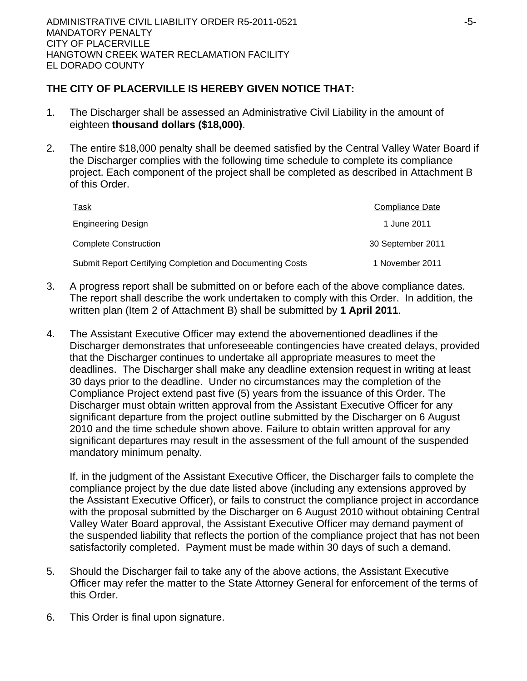# **THE CITY OF PLACERVILLE IS HEREBY GIVEN NOTICE THAT:**

- 1. The Discharger shall be assessed an Administrative Civil Liability in the amount of eighteen **thousand dollars (\$18,000)**.
- 2. The entire \$18,000 penalty shall be deemed satisfied by the Central Valley Water Board if the Discharger complies with the following time schedule to complete its compliance project. Each component of the project shall be completed as described in Attachment B of this Order.

| <u>Task</u>                                               | <b>Compliance Date</b> |
|-----------------------------------------------------------|------------------------|
| <b>Engineering Design</b>                                 | 1 June 2011            |
| <b>Complete Construction</b>                              | 30 September 2011      |
| Submit Report Certifying Completion and Documenting Costs | 1 November 2011        |

- 3. A progress report shall be submitted on or before each of the above compliance dates. The report shall describe the work undertaken to comply with this Order. In addition, the written plan (Item 2 of Attachment B) shall be submitted by **1 April 2011**.
- 4. The Assistant Executive Officer may extend the abovementioned deadlines if the Discharger demonstrates that unforeseeable contingencies have created delays, provided that the Discharger continues to undertake all appropriate measures to meet the deadlines. The Discharger shall make any deadline extension request in writing at least 30 days prior to the deadline. Under no circumstances may the completion of the Compliance Project extend past five (5) years from the issuance of this Order. The Discharger must obtain written approval from the Assistant Executive Officer for any significant departure from the project outline submitted by the Discharger on 6 August 2010 and the time schedule shown above. Failure to obtain written approval for any significant departures may result in the assessment of the full amount of the suspended mandatory minimum penalty.

If, in the judgment of the Assistant Executive Officer, the Discharger fails to complete the compliance project by the due date listed above (including any extensions approved by the Assistant Executive Officer), or fails to construct the compliance project in accordance with the proposal submitted by the Discharger on 6 August 2010 without obtaining Central Valley Water Board approval, the Assistant Executive Officer may demand payment of the suspended liability that reflects the portion of the compliance project that has not been satisfactorily completed. Payment must be made within 30 days of such a demand.

- 5. Should the Discharger fail to take any of the above actions, the Assistant Executive Officer may refer the matter to the State Attorney General for enforcement of the terms of this Order.
- 6. This Order is final upon signature.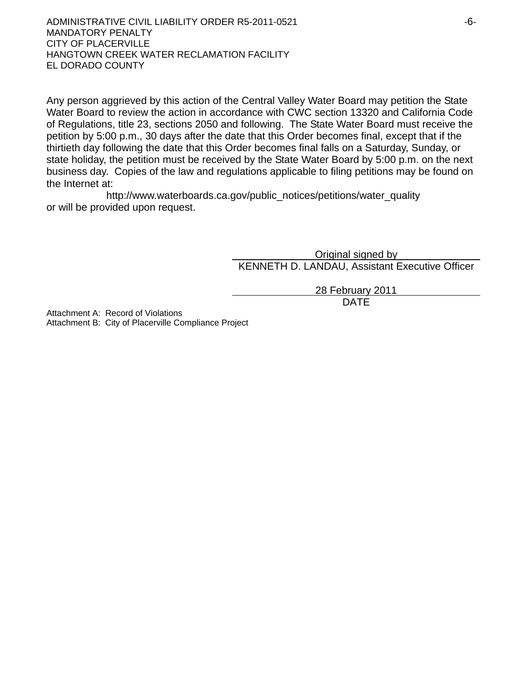ADMINISTRATIVE CIVIL LIABILITY ORDER R5-2011-0521 F6-MANDATORY PENALTY CITY OF PLACERVILLE HANGTOWN CREEK WATER RECLAMATION FACILITY EL DORADO COUNTY

Any person aggrieved by this action of the Central Valley Water Board may petition the State Water Board to review the action in accordance with CWC section 13320 and California Code of Regulations, title 23, sections 2050 and following. The State Water Board must receive the petition by 5:00 p.m., 30 days after the date that this Order becomes final, except that if the thirtieth day following the date that this Order becomes final falls on a Saturday, Sunday, or state holiday, the petition must be received by the State Water Board by 5:00 p.m. on the next business day. Copies of the law and regulations applicable to filing petitions may be found on the Internet at:

http://www.waterboards.ca.gov/public\_notices/petitions/water\_quality or will be provided upon request.

> Original signed by KENNETH D. LANDAU, Assistant Executive Officer

28 February 2011 design and the contract of the contract of the DATE of the contract of the contract of the contract of the contract of the contract of the contract of the contract of the contract of the contract of the contract of the con

Attachment A: Record of Violations Attachment B: City of Placerville Compliance Project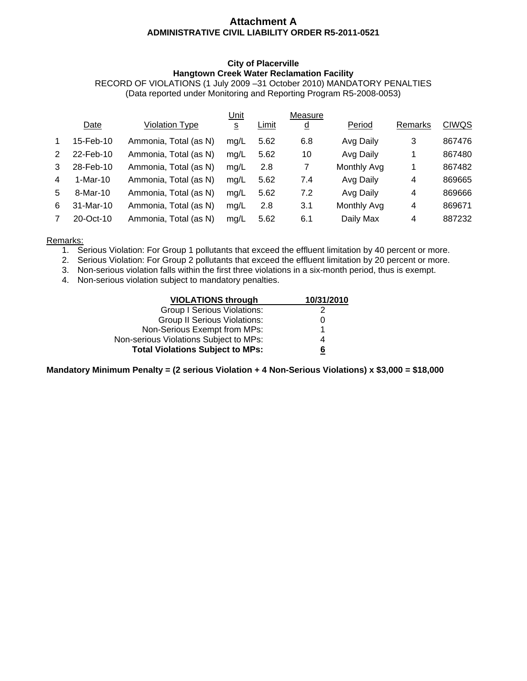### **Attachment A ADMINISTRATIVE CIVIL LIABILITY ORDER R5-2011-0521**

#### **City of Placerville Hangtown Creek Water Reclamation Facility**

RECORD OF VIOLATIONS (1 July 2009 –31 October 2010) MANDATORY PENALTIES (Data reported under Monitoring and Reporting Program R5-2008-0053)

|            |                       | Unit            |       | Measure  |             |                |              |
|------------|-----------------------|-----------------|-------|----------|-------------|----------------|--------------|
| Date       | Violation Type        | $\underline{s}$ | Limit | <u>d</u> | Period      | Remarks        | <b>CIWQS</b> |
| 15-Feb-10  | Ammonia, Total (as N) | mq/L            | 5.62  | 6.8      | Avg Daily   | 3              | 867476       |
| 22-Feb-10  | Ammonia, Total (as N) | mg/L            | 5.62  | 10       | Avg Daily   | 1              | 867480       |
| 28-Feb-10  | Ammonia, Total (as N) | mg/L            | 2.8   | 7        | Monthly Avg | 1              | 867482       |
| $1-Mar-10$ | Ammonia, Total (as N) | mg/L            | 5.62  | 7.4      | Avg Daily   | 4              | 869665       |
| $8-Mar-10$ | Ammonia, Total (as N) | mg/L            | 5.62  | 7.2      | Avg Daily   | 4              | 869666       |
| 31-Mar-10  | Ammonia, Total (as N) | mg/L            | 2.8   | 3.1      | Monthly Avg | $\overline{4}$ | 869671       |
| 20-Oct-10  | Ammonia, Total (as N) | mq/L            | 5.62  | 6.1      | Daily Max   | 4              | 887232       |
|            |                       |                 |       |          |             |                |              |

Remarks:

- 1. Serious Violation: For Group 1 pollutants that exceed the effluent limitation by 40 percent or more.
- 2. Serious Violation: For Group 2 pollutants that exceed the effluent limitation by 20 percent or more.
- 3. Non-serious violation falls within the first three violations in a six-month period, thus is exempt.
- 4. Non-serious violation subject to mandatory penalties.

| <b>VIOLATIONS through</b>               | 10/31/2010 |
|-----------------------------------------|------------|
| <b>Group I Serious Violations:</b>      |            |
| <b>Group II Serious Violations:</b>     |            |
| Non-Serious Exempt from MPs:            | 1          |
| Non-serious Violations Subject to MPs:  | 4          |
| <b>Total Violations Subject to MPs:</b> | 6          |

**Mandatory Minimum Penalty = (2 serious Violation + 4 Non-Serious Violations) x \$3,000 = \$18,000**